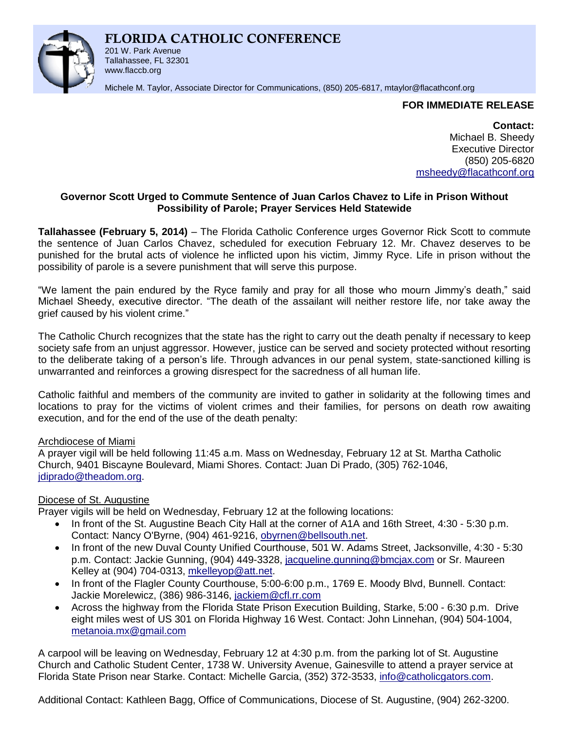# **FLORIDA CATHOLIC CONFERENCE**



201 W. Park Avenue Tallahassee, FL 32301 www.flaccb.org

Michele M. Taylor, Associate Director for Communications, (850) 205-6817, [mtaylor@flacathconf.org](mailto:mtaylor@flacathconf.org)

# **FOR IMMEDIATE RELEASE**

**Contact:** Michael B. Sheedy Executive Director (850) 205-6820 [msheedy@flacathconf.org](mailto:msheedy@flacathconf.org)

# **Governor Scott Urged to Commute Sentence of Juan Carlos Chavez to Life in Prison Without Possibility of Parole; Prayer Services Held Statewide**

**Tallahassee (February 5, 2014)** – The Florida Catholic Conference urges Governor Rick Scott to commute the sentence of Juan Carlos Chavez, scheduled for execution February 12. Mr. Chavez deserves to be punished for the brutal acts of violence he inflicted upon his victim, Jimmy Ryce. Life in prison without the possibility of parole is a severe punishment that will serve this purpose.

"We lament the pain endured by the Ryce family and pray for all those who mourn Jimmy's death," said Michael Sheedy, executive director. "The death of the assailant will neither restore life, nor take away the grief caused by his violent crime."

The Catholic Church recognizes that the state has the right to carry out the death penalty if necessary to keep society safe from an unjust aggressor. However, justice can be served and society protected without resorting to the deliberate taking of a person's life. Through advances in our penal system, state-sanctioned killing is unwarranted and reinforces a growing disrespect for the sacredness of all human life.

Catholic faithful and members of the community are invited to gather in solidarity at the following times and locations to pray for the victims of violent crimes and their families, for persons on death row awaiting execution, and for the end of the use of the death penalty:

# Archdiocese of Miami

A prayer vigil will be held following 11:45 a.m. Mass on Wednesday, February 12 at St. Martha Catholic Church, 9401 Biscayne Boulevard, Miami Shores. Contact: Juan Di Prado, (305) 762-1046, [jdiprado@theadom.org.](mailto:jdiprado@theadom.org)

# Diocese of St. Augustine

Prayer vigils will be held on Wednesday, February 12 at the following locations:

- In front of the St. Augustine Beach City Hall at the corner of A1A and 16th Street, 4:30 5:30 p.m. Contact: Nancy O'Byrne, (904) 461-9216, [obyrnen@bellsouth.net.](http://us.mc1850.mail.yahoo.com/mc/compose?to=obyrnen@bellsouth.net)
- In front of the new Duval County Unified Courthouse, 501 W. Adams Street, Jacksonville, 4:30 5:30 p.m. Contact: Jackie Gunning, (904) 449-3328, [jacqueline.gunning@bmcjax.com](mailto:jacqueline.gunning@bmcjax.com) or Sr. Maureen Kelley at (904) 704-0313, [mkelleyop@att.net.](mailto:mkelleyop@att.net)
- In front of the Flagler County Courthouse, 5:00-6:00 p.m., 1769 E. Moody Blvd, Bunnell. Contact: Jackie Morelewicz, (386) 986-3146, [jackiem@cfl.rr.com](mailto:jackiem@cfl.rr.com)
- Across the highway from the Florida State Prison Execution Building, Starke, 5:00 6:30 p.m. Drive eight miles west of US 301 on Florida Highway 16 West. Contact: John Linnehan, (904) 504-1004, [metanoia.mx@gmail.com](mailto:metanoia.mx@gmail.com)

A carpool will be leaving on Wednesday, February 12 at 4:30 p.m. from the parking lot of St. Augustine Church and Catholic Student Center, 1738 W. University Avenue, Gainesville to attend a prayer service at Florida State Prison near Starke. Contact: Michelle Garcia, (352) 372-3533, [info@catholicgators.com.](mailto:info@catholicgators.com)

Additional Contact: Kathleen Bagg, Office of Communications, Diocese of St. Augustine, (904) 262-3200.